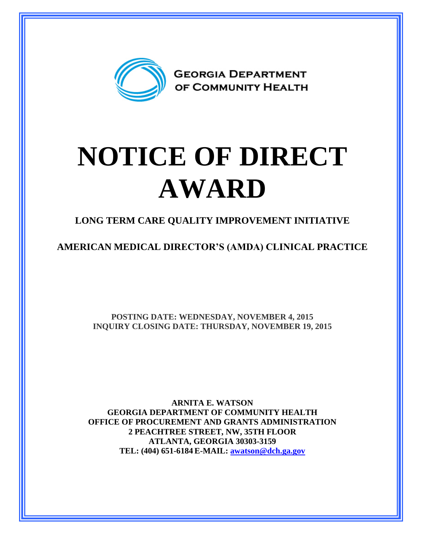

## **NOTICE OF DIRECT AWARD**

**LONG TERM CARE QUALITY IMPROVEMENT INITIATIVE**

**AMERICAN MEDICAL DIRECTOR'S (AMDA) CLINICAL PRACTICE**

**POSTING DATE: WEDNESDAY, NOVEMBER 4, 2015 INQUIRY CLOSING DATE: THURSDAY, NOVEMBER 19, 2015**

**ARNITA E. WATSON GEORGIA DEPARTMENT OF COMMUNITY HEALTH OFFICE OF PROCUREMENT AND GRANTS ADMINISTRATION 2 PEACHTREE STREET, NW, 35TH FLOOR ATLANTA, GEORGIA 30303-3159 TEL: (404) 651-6184 E-MAIL: [awatson@dch.ga.gov](mailto:awatson@dch.ga.gov)**